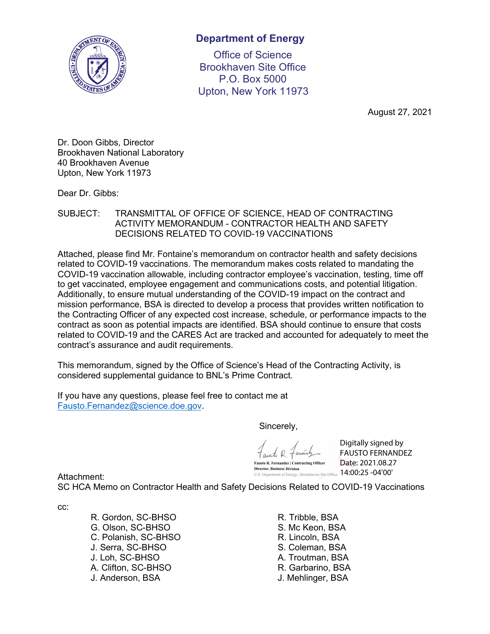

# **Department of Energy**

Office of Science Brookhaven Site Office P.O. Box 5000 Upton, New York 11973

August 27, 2021

Dr. Doon Gibbs, Director Brookhaven National Laboratory 40 Brookhaven Avenue Upton, New York 11973

Dear Dr. Gibbs:

#### SUBJECT: TRANSMITTAL OF OFFICE OF SCIENCE, HEAD OF CONTRACTING ACTIVITY MEMORANDUM - CONTRACTOR HEALTH AND SAFETY DECISIONS RELATED TO COVID-19 VACCINATIONS

Attached, please find Mr. Fontaine's memorandum on contractor health and safety decisions related to COVID-19 vaccinations. The memorandum makes costs related to mandating the COVID-19 vaccination allowable, including contractor employee's vaccination, testing, time off to get vaccinated, employee engagement and communications costs, and potential litigation. Additionally, to ensure mutual understanding of the COVID-19 impact on the contract and mission performance, BSA is directed to develop a process that provides written notification to the Contracting Officer of any expected cost increase, schedule, or performance impacts to the contract as soon as potential impacts are identified. BSA should continue to ensure that costs related to COVID-19 and the CARES Act are tracked and accounted for adequately to meet the contract's assurance and audit requirements.

This memorandum, signed by the Office of Science's Head of the Contracting Activity, is considered supplemental guidance to BNL's Prime Contract.

If you have any questions, please feel free to contact me at [Fausto.Fernandez@science.doe.gov.](mailto:Fausto.Fernandez@science.doe.gov)

Sincerely,

**Director, Business Division** 

Digitally signed by FAUSTO FERNANDEZ Date: 2021.08.27 U.S. Department of Energy | Brookhaven Site Office  $14:00:25$  -04'00'

Attachment:

SC HCA Memo on Contractor Health and Safety Decisions Related to COVID-19 Vaccinations

cc:

R. Gordon, SC-BHSO G. Olson, SC-BHSO C. Polanish, SC-BHSO J. Serra, SC-BHSO J. Loh, SC-BHSO A. Clifton, SC-BHSO J. Anderson, BSA

R. Tribble, BSA S. Mc Keon, BSA R. Lincoln, BSA S. Coleman, BSA A. Troutman, BSA R. Garbarino, BSA J. Mehlinger, BSA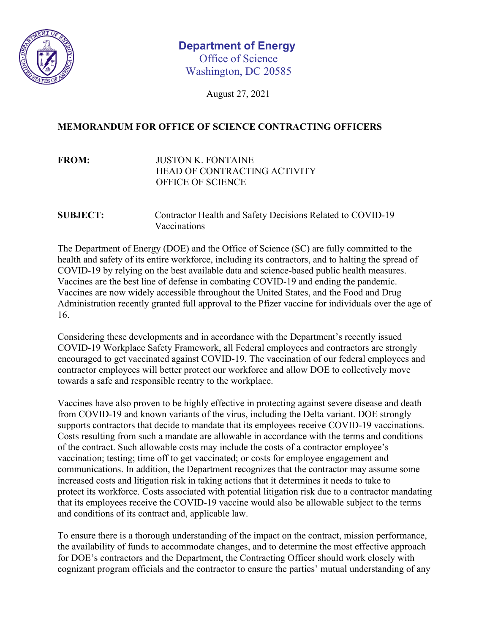

# Washington, DC 20585 **Department of Energy** Office of Science

August 27, 2021

## **MEMORANDUM FOR OFFICE OF SCIENCE CONTRACTING OFFICERS**

# **FROM:** JUSTON K. FONTAINE HEAD OF CONTRACTING ACTIVITY OFFICE OF SCIENCE

### **SUBJECT:** Contractor Health and Safety Decisions Related to COVID-19 Vaccinations

The Department of Energy (DOE) and the Office of Science (SC) are fully committed to the health and safety of its entire workforce, including its contractors, and to halting the spread of COVID-19 by relying on the best available data and science-based public health measures. Vaccines are the best line of defense in combating COVID-19 and ending the pandemic. Vaccines are now widely accessible throughout the United States, and the Food and Drug Administration recently granted full approval to the Pfizer vaccine for individuals over the age of 16.

Considering these developments and in accordance with the Department's recently issued COVID-19 Workplace Safety Framework, all Federal employees and contractors are strongly encouraged to get vaccinated against COVID-19. The vaccination of our federal employees and contractor employees will better protect our workforce and allow DOE to collectively move towards a safe and responsible reentry to the workplace.

Vaccines have also proven to be highly effective in protecting against severe disease and death from COVID-19 and known variants of the virus, including the Delta variant. DOE strongly supports contractors that decide to mandate that its employees receive COVID-19 vaccinations. Costs resulting from such a mandate are allowable in accordance with the terms and conditions of the contract. Such allowable costs may include the costs of a contractor employee's vaccination; testing; time off to get vaccinated; or costs for employee engagement and communications. In addition, the Department recognizes that the contractor may assume some increased costs and litigation risk in taking actions that it determines it needs to take to protect its workforce. Costs associated with potential litigation risk due to a contractor mandating that its employees receive the COVID-19 vaccine would also be allowable subject to the terms and conditions of its contract and, applicable law.

To ensure there is a thorough understanding of the impact on the contract, mission performance, the availability of funds to accommodate changes, and to determine the most effective approach for DOE's contractors and the Department, the Contracting Officer should work closely with cognizant program officials and the contractor to ensure the parties' mutual understanding of any